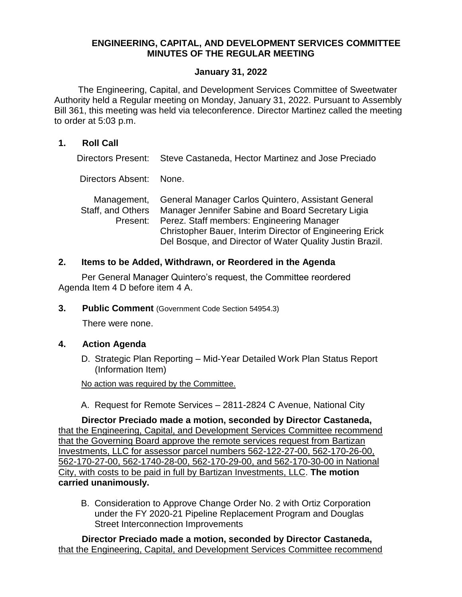# **ENGINEERING, CAPITAL, AND DEVELOPMENT SERVICES COMMITTEE MINUTES OF THE REGULAR MEETING**

### **January 31, 2022**

The Engineering, Capital, and Development Services Committee of Sweetwater Authority held a Regular meeting on Monday, January 31, 2022. Pursuant to Assembly Bill 361, this meeting was held via teleconference. Director Martinez called the meeting to order at 5:03 p.m.

### **1. Roll Call**

Directors Present: Steve Castaneda, Hector Martinez and Jose Preciado

Directors Absent: None.

| Management,       | General Manager Carlos Quintero, Assistant General              |
|-------------------|-----------------------------------------------------------------|
| Staff, and Others | Manager Jennifer Sabine and Board Secretary Ligia               |
| Present:          | Perez. Staff members: Engineering Manager                       |
|                   | <b>Christopher Bauer, Interim Director of Engineering Erick</b> |
|                   | Del Bosque, and Director of Water Quality Justin Brazil.        |

### **2. Items to be Added, Withdrawn, or Reordered in the Agenda**

Per General Manager Quintero's request, the Committee reordered Agenda Item 4 D before item 4 A.

**3. Public Comment** (Government Code Section 54954.3)

There were none.

#### **4. Action Agenda**

D. Strategic Plan Reporting – Mid-Year Detailed Work Plan Status Report (Information Item)

No action was required by the Committee.

A. Request for Remote Services – 2811-2824 C Avenue, National City

**Director Preciado made a motion, seconded by Director Castaneda,**  that the Engineering, Capital, and Development Services Committee recommend that the Governing Board approve the remote services request from Bartizan Investments, LLC for assessor parcel numbers 562-122-27-00, 562-170-26-00, 562-170-27-00, 562-1740-28-00, 562-170-29-00, and 562-170-30-00 in National City, with costs to be paid in full by Bartizan Investments, LLC. **The motion carried unanimously.**

B. Consideration to Approve Change Order No. 2 with Ortiz Corporation under the FY 2020-21 Pipeline Replacement Program and Douglas Street Interconnection Improvements

**Director Preciado made a motion, seconded by Director Castaneda,**  that the Engineering, Capital, and Development Services Committee recommend